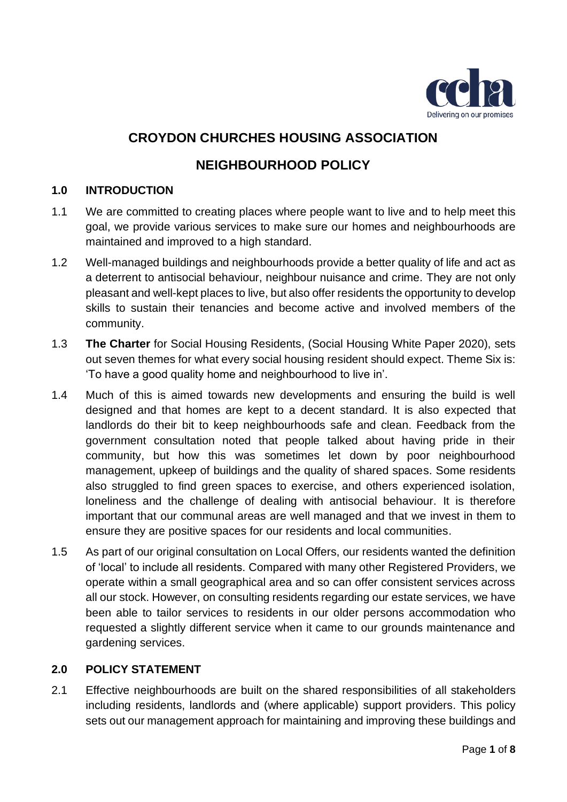

# **CROYDON CHURCHES HOUSING ASSOCIATION**

# **NEIGHBOURHOOD POLICY**

# **1.0 INTRODUCTION**

- 1.1 We are committed to creating places where people want to live and to help meet this goal, we provide various services to make sure our homes and neighbourhoods are maintained and improved to a high standard.
- 1.2 Well-managed buildings and neighbourhoods provide a better quality of life and act as a deterrent to antisocial behaviour, neighbour nuisance and crime. They are not only pleasant and well-kept places to live, but also offer residents the opportunity to develop skills to sustain their tenancies and become active and involved members of the community.
- 1.3 **The Charter** for Social Housing Residents, (Social Housing White Paper 2020), sets out seven themes for what every social housing resident should expect. Theme Six is: 'To have a good quality home and neighbourhood to live in'.
- 1.4 Much of this is aimed towards new developments and ensuring the build is well designed and that homes are kept to a decent standard. It is also expected that landlords do their bit to keep neighbourhoods safe and clean. Feedback from the government consultation noted that people talked about having pride in their community, but how this was sometimes let down by poor neighbourhood management, upkeep of buildings and the quality of shared spaces. Some residents also struggled to find green spaces to exercise, and others experienced isolation, loneliness and the challenge of dealing with antisocial behaviour. It is therefore important that our communal areas are well managed and that we invest in them to ensure they are positive spaces for our residents and local communities.
- 1.5 As part of our original consultation on Local Offers, our residents wanted the definition of 'local' to include all residents. Compared with many other Registered Providers, we operate within a small geographical area and so can offer consistent services across all our stock. However, on consulting residents regarding our estate services, we have been able to tailor services to residents in our older persons accommodation who requested a slightly different service when it came to our grounds maintenance and gardening services.

#### **2.0 POLICY STATEMENT**

2.1 Effective neighbourhoods are built on the shared responsibilities of all stakeholders including residents, landlords and (where applicable) support providers. This policy sets out our management approach for maintaining and improving these buildings and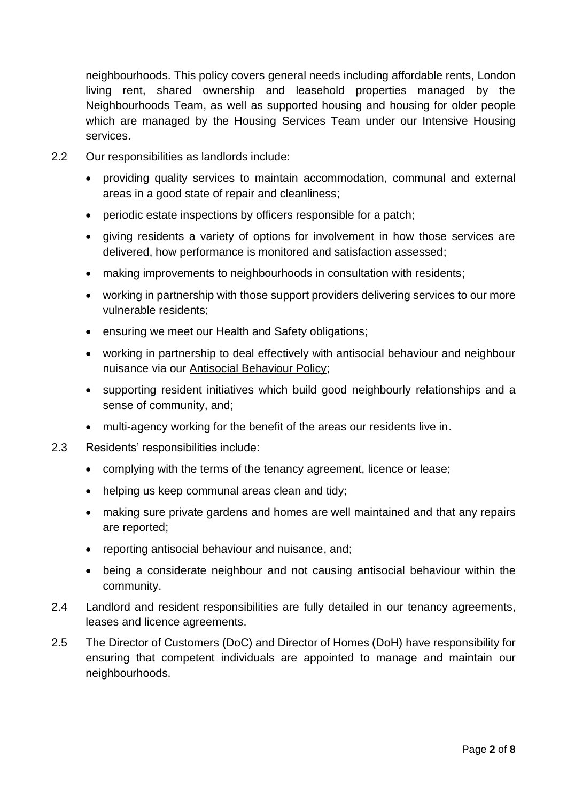neighbourhoods. This policy covers general needs including affordable rents, London living rent, shared ownership and leasehold properties managed by the Neighbourhoods Team, as well as supported housing and housing for older people which are managed by the Housing Services Team under our Intensive Housing services.

- 2.2 Our responsibilities as landlords include:
	- providing quality services to maintain accommodation, communal and external areas in a good state of repair and cleanliness;
	- periodic estate inspections by officers responsible for a patch;
	- giving residents a variety of options for involvement in how those services are delivered, how performance is monitored and satisfaction assessed;
	- making improvements to neighbourhoods in consultation with residents;
	- working in partnership with those support providers delivering services to our more vulnerable residents;
	- ensuring we meet our Health and Safety obligations;
	- working in partnership to deal effectively with antisocial behaviour and neighbour nuisance via our Antisocial Behaviour Policy;
	- supporting resident initiatives which build good neighbourly relationships and a sense of community, and;
	- multi-agency working for the benefit of the areas our residents live in.
- 2.3 Residents' responsibilities include:
	- complying with the terms of the tenancy agreement, licence or lease;
	- helping us keep communal areas clean and tidy;
	- making sure private gardens and homes are well maintained and that any repairs are reported;
	- reporting antisocial behaviour and nuisance, and;
	- being a considerate neighbour and not causing antisocial behaviour within the community.
- 2.4 Landlord and resident responsibilities are fully detailed in our tenancy agreements, leases and licence agreements.
- 2.5 The Director of Customers (DoC) and Director of Homes (DoH) have responsibility for ensuring that competent individuals are appointed to manage and maintain our neighbourhoods.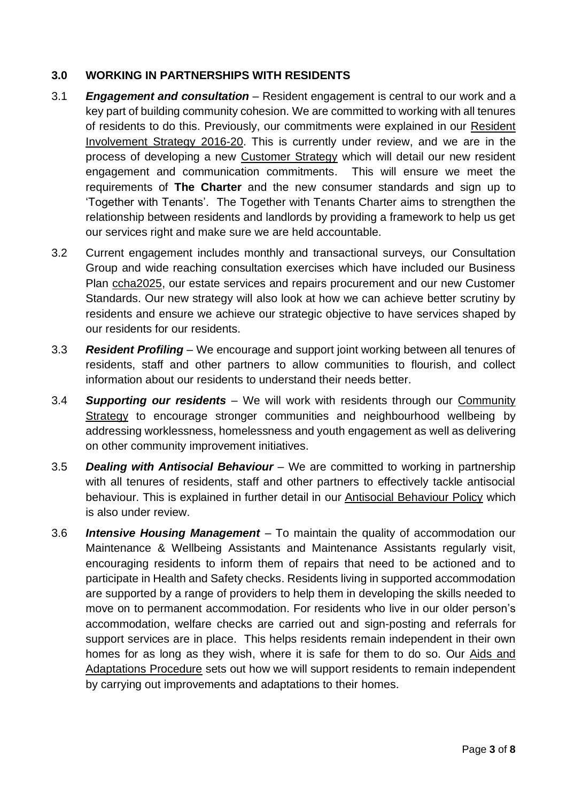# **3.0 WORKING IN PARTNERSHIPS WITH RESIDENTS**

- 3.1 *Engagement and consultation* Resident engagement is central to our work and a key part of building community cohesion. We are committed to working with all tenures of residents to do this. Previously, our commitments were explained in our Resident Involvement Strategy 2016-20. This is currently under review, and we are in the process of developing a new Customer Strategy which will detail our new resident engagement and communication commitments. This will ensure we meet the requirements of **The Charter** and the new consumer standards and sign up to 'Together with Tenants'. The Together with Tenants Charter aims to strengthen the relationship between residents and landlords by providing a framework to help us get our services right and make sure we are held accountable.
- 3.2 Current engagement includes monthly and transactional surveys, our Consultation Group and wide reaching consultation exercises which have included our Business Plan ccha2025, our estate services and repairs procurement and our new Customer Standards. Our new strategy will also look at how we can achieve better scrutiny by residents and ensure we achieve our strategic objective to have services shaped by our residents for our residents.
- 3.3 *Resident Profiling* We encourage and support joint working between all tenures of residents, staff and other partners to allow communities to flourish, and collect information about our residents to understand their needs better.
- 3.4 *Supporting our residents* We will work with residents through our Community Strategy to encourage stronger communities and neighbourhood wellbeing by addressing worklessness, homelessness and youth engagement as well as delivering on other community improvement initiatives.
- 3.5 *Dealing with Antisocial Behaviour* We are committed to working in partnership with all tenures of residents, staff and other partners to effectively tackle antisocial behaviour. This is explained in further detail in our Antisocial Behaviour Policy which is also under review.
- 3.6 *Intensive Housing Management* To maintain the quality of accommodation our Maintenance & Wellbeing Assistants and Maintenance Assistants regularly visit, encouraging residents to inform them of repairs that need to be actioned and to participate in Health and Safety checks. Residents living in supported accommodation are supported by a range of providers to help them in developing the skills needed to move on to permanent accommodation. For residents who live in our older person's accommodation, welfare checks are carried out and sign-posting and referrals for support services are in place. This helps residents remain independent in their own homes for as long as they wish, where it is safe for them to do so. Our Aids and Adaptations Procedure sets out how we will support residents to remain independent by carrying out improvements and adaptations to their homes.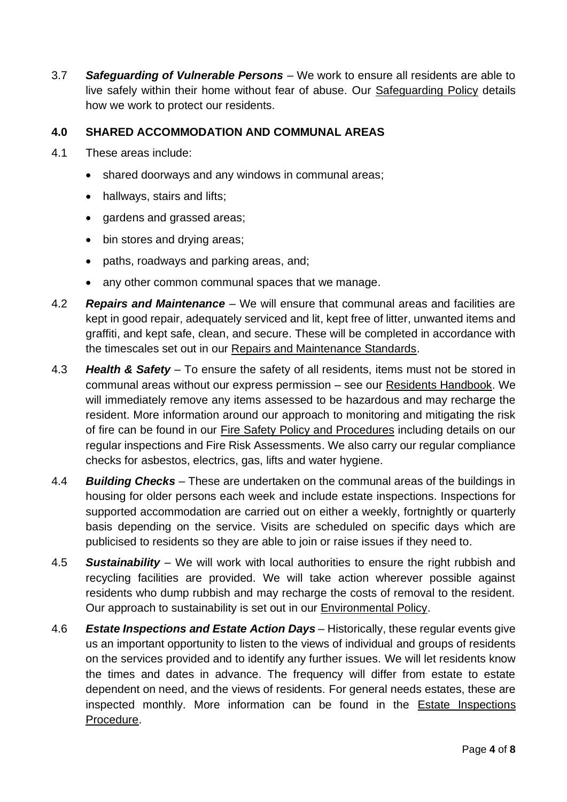3.7 *Safeguarding of Vulnerable Persons* – We work to ensure all residents are able to live safely within their home without fear of abuse. Our Safeguarding Policy details how we work to protect our residents.

# **4.0 SHARED ACCOMMODATION AND COMMUNAL AREAS**

- 4.1 These areas include:
	- shared doorways and any windows in communal areas;
	- hallways, stairs and lifts;
	- gardens and grassed areas;
	- bin stores and drying areas;
	- paths, roadways and parking areas, and;
	- any other common communal spaces that we manage.
- 4.2 *Repairs and Maintenance* We will ensure that communal areas and facilities are kept in good repair, adequately serviced and lit, kept free of litter, unwanted items and graffiti, and kept safe, clean, and secure. These will be completed in accordance with the timescales set out in our Repairs and Maintenance Standards.
- 4.3 *Health & Safety* To ensure the safety of all residents, items must not be stored in communal areas without our express permission – see our Residents Handbook. We will immediately remove any items assessed to be hazardous and may recharge the resident. More information around our approach to monitoring and mitigating the risk of fire can be found in our Fire Safety Policy and Procedures including details on our regular inspections and Fire Risk Assessments. We also carry our regular compliance checks for asbestos, electrics, gas, lifts and water hygiene.
- 4.4 *Building Checks –* These are undertaken on the communal areas of the buildings in housing for older persons each week and include estate inspections. Inspections for supported accommodation are carried out on either a weekly, fortnightly or quarterly basis depending on the service. Visits are scheduled on specific days which are publicised to residents so they are able to join or raise issues if they need to.
- 4.5 *Sustainability* We will work with local authorities to ensure the right rubbish and recycling facilities are provided. We will take action wherever possible against residents who dump rubbish and may recharge the costs of removal to the resident. Our approach to sustainability is set out in our Environmental Policy.
- 4.6 *Estate Inspections and Estate Action Days* Historically, these regular events give us an important opportunity to listen to the views of individual and groups of residents on the services provided and to identify any further issues. We will let residents know the times and dates in advance. The frequency will differ from estate to estate dependent on need, and the views of residents. For general needs estates, these are inspected monthly. More information can be found in the Estate Inspections Procedure.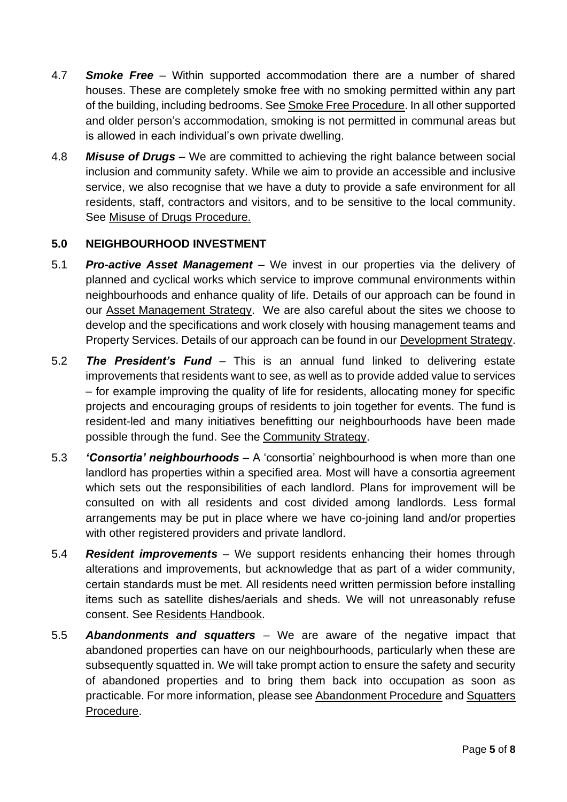- 4.7 *Smoke Free –* Within supported accommodation there are a number of shared houses. These are completely smoke free with no smoking permitted within any part of the building, including bedrooms. See Smoke Free Procedure. In all other supported and older person's accommodation, smoking is not permitted in communal areas but is allowed in each individual's own private dwelling.
- 4.8 *Misuse of Drugs –* We are committed to achieving the right balance between social inclusion and community safety. While we aim to provide an accessible and inclusive service, we also recognise that we have a duty to provide a safe environment for all residents, staff, contractors and visitors, and to be sensitive to the local community. See Misuse of Drugs Procedure.

# **5.0 NEIGHBOURHOOD INVESTMENT**

- 5.1 *Pro-active Asset Management* We invest in our properties via the delivery of planned and cyclical works which service to improve communal environments within neighbourhoods and enhance quality of life. Details of our approach can be found in our Asset Management Strategy. We are also careful about the sites we choose to develop and the specifications and work closely with housing management teams and Property Services. Details of our approach can be found in our Development Strategy.
- 5.2 *The President's Fund* This is an annual fund linked to delivering estate improvements that residents want to see, as well as to provide added value to services – for example improving the quality of life for residents, allocating money for specific projects and encouraging groups of residents to join together for events. The fund is resident-led and many initiatives benefitting our neighbourhoods have been made possible through the fund. See the Community Strategy.
- 5.3 *'Consortia' neighbourhoods* A 'consortia' neighbourhood is when more than one landlord has properties within a specified area. Most will have a consortia agreement which sets out the responsibilities of each landlord. Plans for improvement will be consulted on with all residents and cost divided among landlords. Less formal arrangements may be put in place where we have co-joining land and/or properties with other registered providers and private landlord.
- 5.4 *Resident improvements* We support residents enhancing their homes through alterations and improvements, but acknowledge that as part of a wider community, certain standards must be met. All residents need written permission before installing items such as satellite dishes/aerials and sheds. We will not unreasonably refuse consent. See Residents Handbook.
- 5.5 *Abandonments and squatters* We are aware of the negative impact that abandoned properties can have on our neighbourhoods, particularly when these are subsequently squatted in. We will take prompt action to ensure the safety and security of abandoned properties and to bring them back into occupation as soon as practicable. For more information, please see Abandonment Procedure and Squatters Procedure.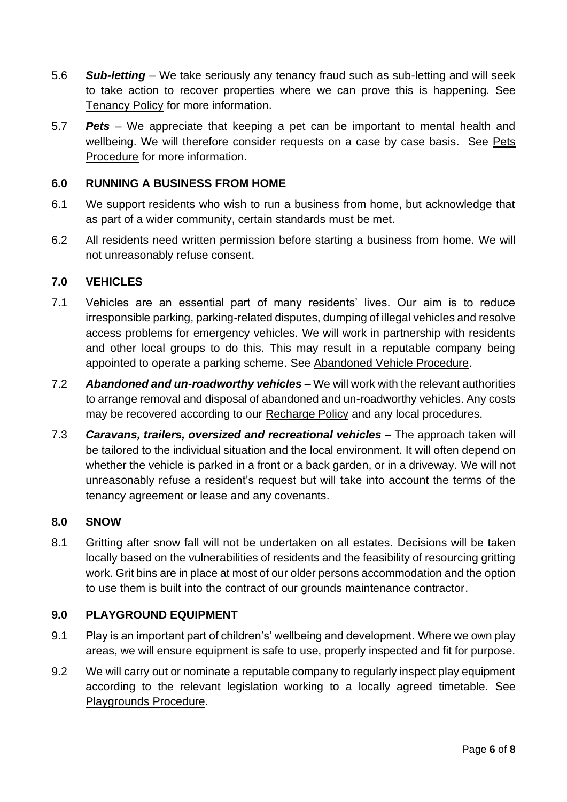- 5.6 *Sub-letting* We take seriously any tenancy fraud such as sub-letting and will seek to take action to recover properties where we can prove this is happening. See Tenancy Policy for more information.
- 5.7 *Pets* We appreciate that keeping a pet can be important to mental health and wellbeing. We will therefore consider requests on a case by case basis. See Pets Procedure for more information.

# **6.0 RUNNING A BUSINESS FROM HOME**

- 6.1 We support residents who wish to run a business from home, but acknowledge that as part of a wider community, certain standards must be met.
- 6.2 All residents need written permission before starting a business from home. We will not unreasonably refuse consent.

# **7.0 VEHICLES**

- 7.1 Vehicles are an essential part of many residents' lives. Our aim is to reduce irresponsible parking, parking-related disputes, dumping of illegal vehicles and resolve access problems for emergency vehicles. We will work in partnership with residents and other local groups to do this. This may result in a reputable company being appointed to operate a parking scheme. See Abandoned Vehicle Procedure.
- 7.2 *Abandoned and un-roadworthy vehicles* We will work with the relevant authorities to arrange removal and disposal of abandoned and un-roadworthy vehicles. Any costs may be recovered according to our Recharge Policy and any local procedures.
- 7.3 *Caravans, trailers, oversized and recreational vehicles* The approach taken will be tailored to the individual situation and the local environment. It will often depend on whether the vehicle is parked in a front or a back garden, or in a driveway. We will not unreasonably refuse a resident's request but will take into account the terms of the tenancy agreement or lease and any covenants.

#### **8.0 SNOW**

8.1 Gritting after snow fall will not be undertaken on all estates. Decisions will be taken locally based on the vulnerabilities of residents and the feasibility of resourcing gritting work. Grit bins are in place at most of our older persons accommodation and the option to use them is built into the contract of our grounds maintenance contractor.

#### **9.0 PLAYGROUND EQUIPMENT**

- 9.1 Play is an important part of children's' wellbeing and development. Where we own play areas, we will ensure equipment is safe to use, properly inspected and fit for purpose.
- 9.2 We will carry out or nominate a reputable company to regularly inspect play equipment according to the relevant legislation working to a locally agreed timetable. See Playgrounds Procedure.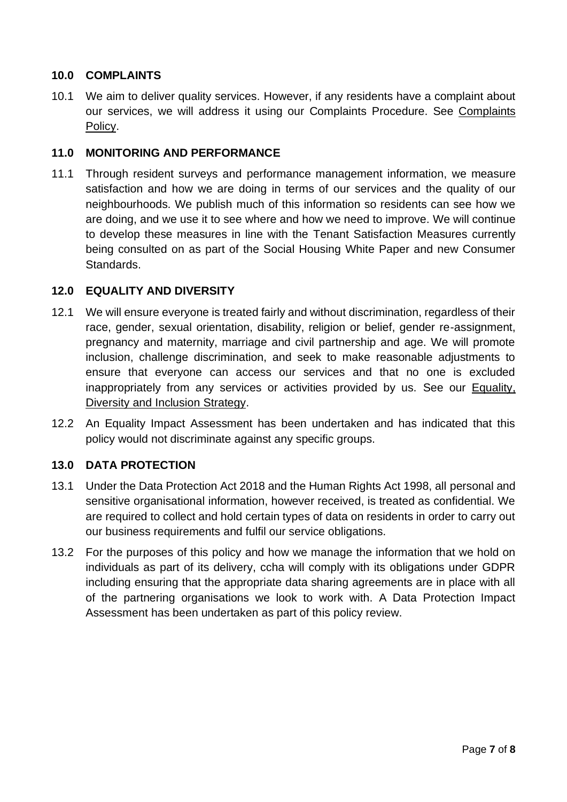# **10.0 COMPLAINTS**

10.1 We aim to deliver quality services. However, if any residents have a complaint about our services, we will address it using our Complaints Procedure. See Complaints Policy.

#### **11.0 MONITORING AND PERFORMANCE**

11.1 Through resident surveys and performance management information, we measure satisfaction and how we are doing in terms of our services and the quality of our neighbourhoods. We publish much of this information so residents can see how we are doing, and we use it to see where and how we need to improve. We will continue to develop these measures in line with the Tenant Satisfaction Measures currently being consulted on as part of the Social Housing White Paper and new Consumer Standards.

# **12.0 EQUALITY AND DIVERSITY**

- 12.1 We will ensure everyone is treated fairly and without discrimination, regardless of their race, gender, sexual orientation, disability, religion or belief, gender re-assignment, pregnancy and maternity, marriage and civil partnership and age. We will promote inclusion, challenge discrimination, and seek to make reasonable adjustments to ensure that everyone can access our services and that no one is excluded inappropriately from any services or activities provided by us. See our Equality, Diversity and Inclusion Strategy.
- 12.2 An Equality Impact Assessment has been undertaken and has indicated that this policy would not discriminate against any specific groups.

#### **13.0 DATA PROTECTION**

- 13.1 Under the Data Protection Act 2018 and the Human Rights Act 1998, all personal and sensitive organisational information, however received, is treated as confidential. We are required to collect and hold certain types of data on residents in order to carry out our business requirements and fulfil our service obligations.
- 13.2 For the purposes of this policy and how we manage the information that we hold on individuals as part of its delivery, ccha will comply with its obligations under GDPR including ensuring that the appropriate data sharing agreements are in place with all of the partnering organisations we look to work with. A Data Protection Impact Assessment has been undertaken as part of this policy review.